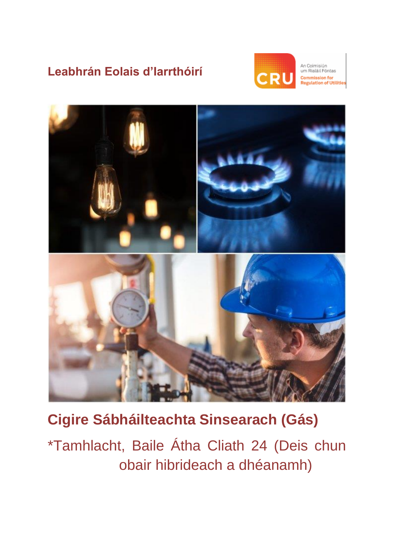# **Leabhrán Eolais d'Iarrthóirí**



An Coimisiún<br>um Rialáil Fóntas nmission for<br>|ulation of Utilities



# **Cigire Sábháilteachta Sinsearach (Gás)**

\*Tamhlacht, Baile Átha Cliath 24 (Deis chun obair hibrideach a dhéanamh)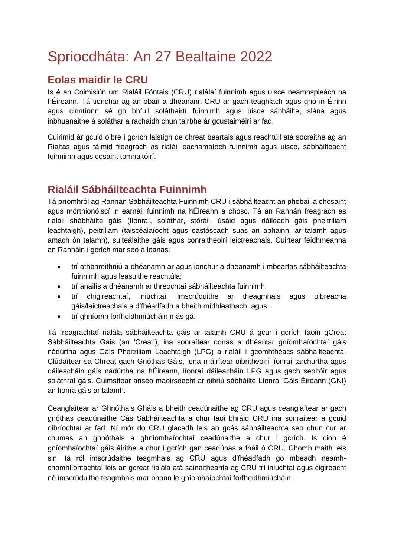# Spriocdháta: An 27 Bealtaine 2022

### **Eolas maidir le CRU**

Is é an Coimisiún um Rialáil Fóntais (CRU) rialálaí fuinnimh agus uisce neamhspleách na hÉireann. Tá tionchar ag an obair a dhéanann CRU ar gach teaghlach agus gnó in Éirinn agus cinntíonn sé go bhfuil soláthairtí fuinnimh agus uisce sábháilte, slána agus inbhuanaithe á soláthar a rachaidh chun tairbhe ár gcustaiméirí ar fad.

Cuirimid ár gcuid oibre i gcrích laistigh de chreat beartais agus reachtúil atá socraithe ag an Rialtas agus táimid freagrach as rialáil eacnamaíoch fuinnimh agus uisce, sábháilteacht fuinnimh agus cosaint tomhaltóirí.

# **Rialáil Sábháilteachta Fuinnimh**

Tá príomhról ag Rannán Sábháilteachta Fuinnimh CRU i sábháilteacht an phobail a chosaint agus mórthionóiscí in earnáil fuinnimh na hÉireann a chosc. Tá an Rannán freagrach as rialáil shábháilte gáis (líonraí, soláthar, stóráil, úsáid agus dáileadh gáis pheitriliam leachtaigh), peitriliam (taiscéalaíocht agus eastóscadh suas an abhainn, ar talamh agus amach ón talamh), suiteálaithe gáis agus conraitheoirí leictreachais. Cuirtear feidhmeanna an Rannáin i gcrích mar seo a leanas:

- trí athbhreithniú a dhéanamh ar agus ionchur a dhéanamh i mbeartas sábháilteachta fuinnimh agus leasuithe reachtúla;
- trí anailís a dhéanamh ar threochtaí sábháilteachta fuinnimh;
- trí chigireachtaí, iniúchtaí, imscrúduithe ar theagmhais agus oibreacha gáis/leictreachais a d'fhéadfadh a bheith mídhleathach; agus
- trí ghníomh forfheidhmiúcháin más gá.

Tá freagrachtaí rialála sábháilteachta gáis ar talamh CRU á gcur i gcrích faoin gCreat Sábháilteachta Gáis (an 'Creat'), ina sonraítear conas a dhéantar gníomhaíochtaí gáis nádúrtha agus Gáis Pheitriliam Leachtaigh (LPG) a rialáil i gcomhthéacs sábháilteachta. Clúdaítear sa Chreat gach Gnóthas Gáis, lena n-áirítear oibritheoirí líonraí tarchurtha agus dáileacháin gáis nádúrtha na hÉireann, líonraí dáileacháin LPG agus gach seoltóir agus soláthraí gáis. Cuimsítear anseo maoirseacht ar oibriú sábháilte Líonraí Gáis Éireann (GNI) an líonra gáis ar talamh.

Ceanglaítear ar Ghnóthais Gháis a bheith ceadúnaithe ag CRU agus ceanglaítear ar gach gnóthas ceadúnaithe Cás Sábháilteachta a chur faoi bhráid CRU ina sonraítear a gcuid oibríochtaí ar fad. Ní mór do CRU glacadh leis an gcás sábháilteachta seo chun cur ar chumas an ghnóthais a ghníomhaíochtaí ceadúnaithe a chur i gcrích. Is cion é gníomhaíochtaí gáis áirithe a chur i gcrích gan ceadúnas a fháil ó CRU. Chomh maith leis sin, tá ról imscrúdaithe teagmhais ag CRU agus d'fhéadfadh go mbeadh neamhchomhlíontachtaí leis an gcreat rialála atá sainaitheanta ag CRU trí iniúchtaí agus cigireacht nó imscrúduithe teagmhais mar bhonn le gníomhaíochtaí forfheidhmiúcháin.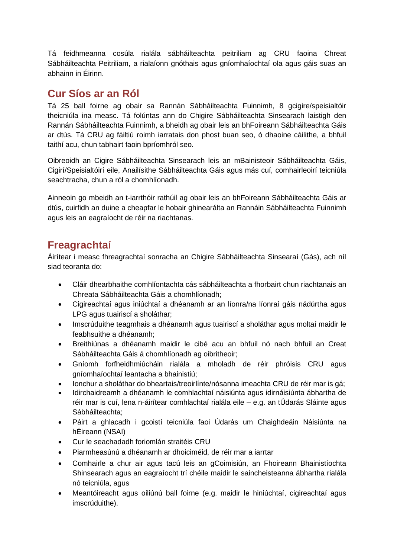Tá feidhmeanna cosúla rialála sábháilteachta peitriliam ag CRU faoina Chreat Sábháilteachta Peitriliam, a rialaíonn gnóthais agus gníomhaíochtaí ola agus gáis suas an abhainn in Éirinn.

#### **Cur Síos ar an Ról**

Tá 25 ball foirne ag obair sa Rannán Sábháilteachta Fuinnimh, 8 gcigire/speisialtóir theicniúla ina measc. Tá folúntas ann do Chigire Sábháilteachta Sinsearach laistigh den Rannán Sábháilteachta Fuinnimh, a bheidh ag obair leis an bhFoireann Sábháilteachta Gáis ar dtús. Tá CRU ag fáiltiú roimh iarratais don phost buan seo, ó dhaoine cáilithe, a bhfuil taithí acu, chun tabhairt faoin bpríomhról seo.

Oibreoidh an Cigire Sábháilteachta Sinsearach leis an mBainisteoir Sábháilteachta Gáis, Cigirí/Speisialtóirí eile, Anailísithe Sábháilteachta Gáis agus más cuí, comhairleoirí teicniúla seachtracha, chun a ról a chomhlíonadh.

Ainneoin go mbeidh an t-iarrthóir rathúil ag obair leis an bhFoireann Sábháilteachta Gáis ar dtús, cuirfidh an duine a cheapfar le hobair ghinearálta an Rannáin Sábháilteachta Fuinnimh agus leis an eagraíocht de réir na riachtanas.

## **Freagrachtaí**

Áirítear i measc fhreagrachtaí sonracha an Chigire Sábháilteachta Sinsearaí (Gás), ach níl siad teoranta do:

- Cláir dhearbhaithe comhlíontachta cás sábháilteachta a fhorbairt chun riachtanais an Chreata Sábháilteachta Gáis a chomhlíonadh;
- Cigireachtaí agus iniúchtaí a dhéanamh ar an líonra/na líonraí gáis nádúrtha agus LPG agus tuairiscí a sholáthar;
- Imscrúduithe teagmhais a dhéanamh agus tuairiscí a sholáthar agus moltaí maidir le feabhsuithe a dhéanamh;
- Breithiúnas a dhéanamh maidir le cibé acu an bhfuil nó nach bhfuil an Creat Sábháilteachta Gáis á chomhlíonadh ag oibritheoir;
- Gníomh forfheidhmiúcháin rialála a mholadh de réir phróisis CRU agus gníomhaíochtaí leantacha a bhainistiú;
- Ionchur a sholáthar do bheartais/treoirlínte/nósanna imeachta CRU de réir mar is gá;
- Idirchaidreamh a dhéanamh le comhlachtaí náisiúnta agus idirnáisiúnta ábhartha de réir mar is cuí, lena n-áirítear comhlachtaí rialála eile – e.g. an tÚdarás Sláinte agus Sábháilteachta;
- Páirt a ghlacadh i gcoistí teicniúla faoi Údarás um Chaighdeáin Náisiúnta na hÉireann (NSAI)
- Cur le seachadadh foriomlán straitéis CRU
- Piarmheasúnú a dhéanamh ar dhoiciméid, de réir mar a iarrtar
- Comhairle a chur air agus tacú leis an gCoimisiún, an Fhoireann Bhainistíochta Shinsearach agus an eagraíocht trí chéile maidir le saincheisteanna ábhartha rialála nó teicniúla, agus
- Meantóireacht agus oiliúnú ball foirne (e.g. maidir le hiniúchtaí, cigireachtaí agus imscrúduithe).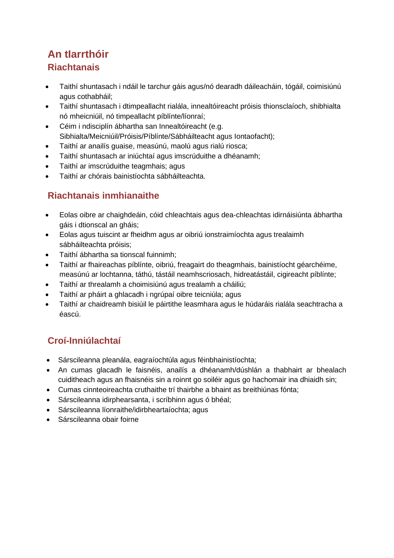# **An tIarrthóir Riachtanais**

- Taithí shuntasach i ndáil le tarchur gáis agus/nó dearadh dáileacháin, tógáil, coimisiúnú agus cothabháil;
- Taithí shuntasach i dtimpeallacht rialála, innealtóireacht próisis thionsclaíoch, shibhialta nó mheicniúil, nó timpeallacht píblínte/líonraí;
- Céim i ndisciplín ábhartha san Innealtóireacht (e.g. Sibhialta/Meicniúil/Próisis/Píblínte/Sábháilteacht agus Iontaofacht);
- Taithí ar anailís guaise, measúnú, maolú agus rialú riosca;
- Taithí shuntasach ar iniúchtaí agus imscrúduithe a dhéanamh;
- Taithí ar imscrúduithe teagmhais; agus
- Taithí ar chórais bainistíochta sábháilteachta.

#### **Riachtanais inmhianaithe**

- Eolas oibre ar chaighdeáin, cóid chleachtais agus dea-chleachtas idirnáisiúnta ábhartha gáis i dtionscal an gháis;
- Eolas agus tuiscint ar fheidhm agus ar oibriú ionstraimíochta agus trealaimh sábháilteachta próisis;
- Taithí ábhartha sa tionscal fuinnimh;
- Taithí ar fhaireachas píblínte, oibriú, freagairt do theagmhais, bainistíocht géarchéime, measúnú ar lochtanna, táthú, tástáil neamhscriosach, hidreatástáil, cigireacht píblínte;
- Taithí ar threalamh a choimisiúnú agus trealamh a cháiliú;
- Taithí ar pháirt a ghlacadh i ngrúpaí oibre teicniúla; agus
- Taithí ar chaidreamh bisiúil le páirtithe leasmhara agus le húdaráis rialála seachtracha a éascú.

## **Croí-Inniúlachtaí**

- Sárscileanna pleanála, eagraíochtúla agus féinbhainistíochta;
- An cumas glacadh le faisnéis, anailís a dhéanamh/dúshlán a thabhairt ar bhealach cuiditheach agus an fhaisnéis sin a roinnt go soiléir agus go hachomair ina dhiaidh sin;
- Cumas cinnteoireachta cruthaithe trí thairbhe a bhaint as breithiúnas fónta;
- Sárscileanna idirphearsanta, i scríbhinn agus ó bhéal;
- Sárscileanna líonraithe/idirbheartaíochta; agus
- Sárscileanna obair foirne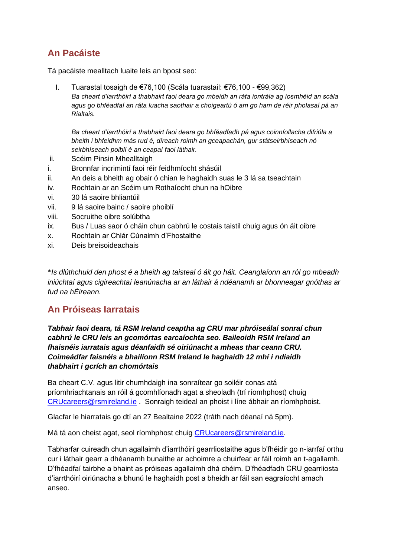#### **An Pacáiste**

Tá pacáiste mealltach luaite leis an bpost seo:

I. Tuarastal tosaigh de €76,100 (Scála tuarastail: €76,100 - €99,362) *Ba cheart d'iarrthóirí a thabhairt faoi deara go mbeidh an ráta iontrála ag íosmhéid an scála agus go bhféadfaí an ráta luacha saothair a choigeartú ó am go ham de réir pholasaí pá an Rialtais.*

*Ba cheart d'iarrthóirí a thabhairt faoi deara go bhféadfadh pá agus coinníollacha difriúla a bheith i bhfeidhm más rud é, díreach roimh an gceapachán, gur státseirbhíseach nó seirbhíseach poiblí é an ceapaí faoi láthair.*

- ii. Scéim Pinsin Mhealltaigh
- i. Bronnfar incrimintí faoi réir feidhmíocht shásúil
- ii. An deis a bheith ag obair ó chian le haghaidh suas le 3 lá sa tseachtain
- iv. Rochtain ar an Scéim um Rothaíocht chun na hOibre
- vi. 30 lá saoire bhliantúil
- vii. 9 lá saoire bainc / saoire phoiblí
- viii. Socruithe oibre solúbtha
- ix. Bus / Luas saor ó cháin chun cabhrú le costais taistil chuig agus ón áit oibre
- x. Rochtain ar Chlár Cúnaimh d'Fhostaithe
- xi. Deis breisoideachais

\**Is dlúthchuid den phost é a bheith ag taisteal ó áit go háit. Ceanglaíonn an ról go mbeadh iniúchtaí agus cigireachtaí leanúnacha ar an láthair á ndéanamh ar bhonneagar gnóthas ar fud na hÉireann.* 

#### **An Próiseas Iarratais**

*Tabhair faoi deara, tá RSM Ireland ceaptha ag CRU mar phróiseálaí sonraí chun cabhrú le CRU leis an gcomórtas earcaíochta seo. Baileoidh RSM Ireland an fhaisnéis iarratais agus déanfaidh sé oiriúnacht a mheas thar ceann CRU. Coimeádfar faisnéis a bhailíonn RSM Ireland le haghaidh 12 mhí i ndiaidh thabhairt i gcrích an chomórtais*

Ba cheart C.V. agus litir chumhdaigh ina sonraítear go soiléir conas atá príomhriachtanais an róil á gcomhlíonadh agat a sheoladh (trí ríomhphost) chuig [CRUcareers@rsmireland.ie](mailto:CRUcareers@rsmireland.ie) . Sonraigh teideal an phoist i líne ábhair an ríomhphoist.

Glacfar le hiarratais go dtí an 27 Bealtaine 2022 (tráth nach déanaí ná 5pm).

Má tá aon cheist agat, seol ríomhphost chuig [CRUcareers@rsmireland.ie.](about:blank)

Tabharfar cuireadh chun agallaimh d'iarrthóirí gearrliostaithe agus b'fhéidir go n-iarrfaí orthu cur i láthair gearr a dhéanamh bunaithe ar achoimre a chuirfear ar fáil roimh an t-agallamh. D'fhéadfaí tairbhe a bhaint as próiseas agallaimh dhá chéim. D'fhéadfadh CRU gearrliosta d'iarrthóirí oiriúnacha a bhunú le haghaidh post a bheidh ar fáil san eagraíocht amach anseo.